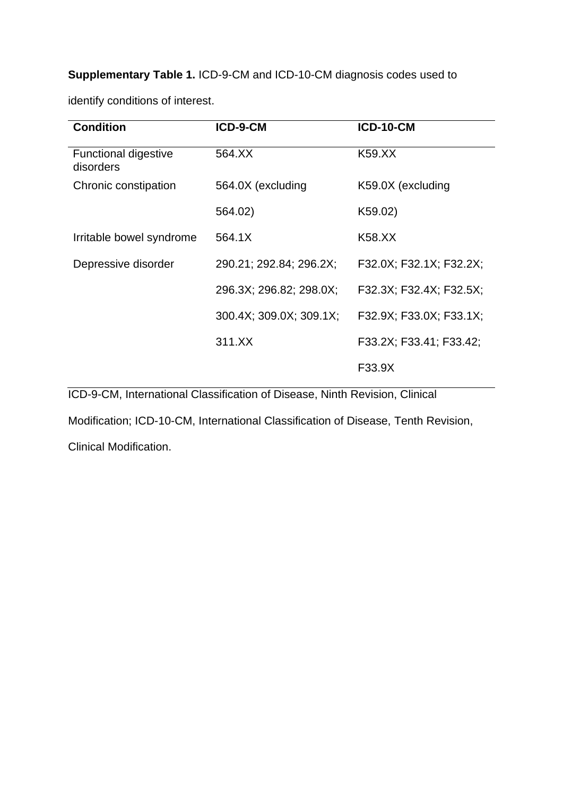**Supplementary Table 1.** ICD-9-CM and ICD-10-CM diagnosis codes used to

| <b>Condition</b>                         | ICD-9-CM                | <b>ICD-10-CM</b>        |  |
|------------------------------------------|-------------------------|-------------------------|--|
| <b>Functional digestive</b><br>disorders | 564.XX                  | K59.XX                  |  |
| Chronic constipation                     | 564.0X (excluding       | K59.0X (excluding       |  |
|                                          | 564.02)                 | K59.02)                 |  |
| Irritable bowel syndrome                 | 564.1X                  | K58.XX                  |  |
| Depressive disorder                      | 290.21; 292.84; 296.2X; | F32.0X; F32.1X; F32.2X; |  |
|                                          | 296.3X; 296.82; 298.0X; | F32.3X; F32.4X; F32.5X; |  |
|                                          | 300.4X; 309.0X; 309.1X; | F32.9X; F33.0X; F33.1X; |  |
|                                          | 311.XX                  | F33.2X; F33.41; F33.42; |  |
|                                          |                         | F33.9X                  |  |

identify conditions of interest.

ICD-9-CM, International Classification of Disease, Ninth Revision, Clinical

Modification; ICD-10-CM, International Classification of Disease, Tenth Revision,

Clinical Modification.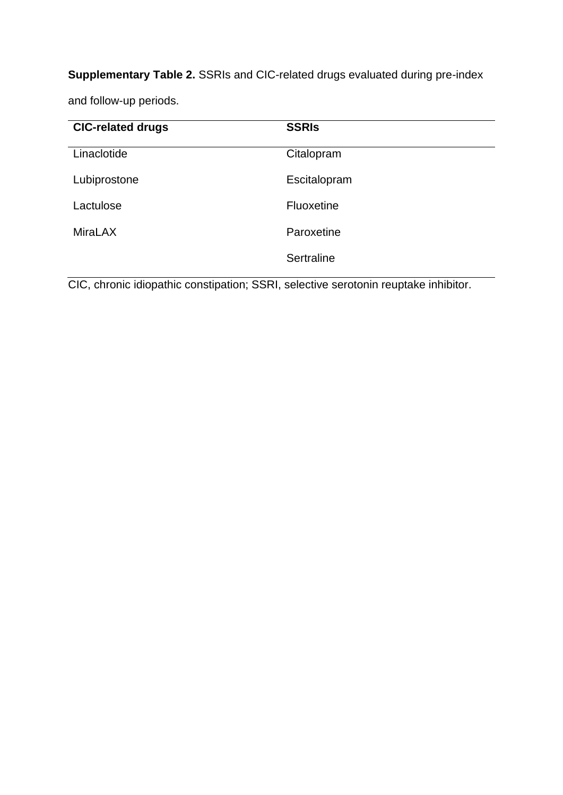**Supplementary Table 2.** SSRIs and CIC-related drugs evaluated during pre-index

and follow-up periods.

| <b>CIC-related drugs</b> | <b>SSRIS</b> |
|--------------------------|--------------|
| Linaclotide              | Citalopram   |
| Lubiprostone             | Escitalopram |
| Lactulose                | Fluoxetine   |
| <b>MiraLAX</b>           | Paroxetine   |
|                          | Sertraline   |

CIC, chronic idiopathic constipation; SSRI, selective serotonin reuptake inhibitor.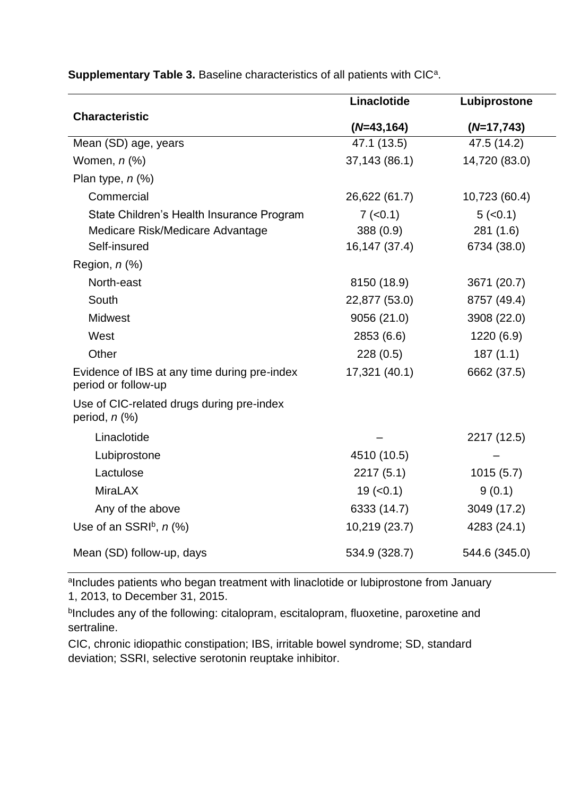|                                                                                               | Linaclotide                              | Lubiprostone                       |
|-----------------------------------------------------------------------------------------------|------------------------------------------|------------------------------------|
| <b>Characteristic</b>                                                                         | $(N=43,164)$                             | $(N=17,743)$                       |
| Mean (SD) age, years                                                                          | 47.1 (13.5)                              | 47.5 (14.2)                        |
| Women, $n$ $%$                                                                                | 37,143 (86.1)                            | 14,720 (83.0)                      |
| Plan type, $n$ (%)                                                                            |                                          |                                    |
| Commercial                                                                                    | 26,622 (61.7)                            | 10,723 (60.4)                      |
| State Children's Health Insurance Program<br>Medicare Risk/Medicare Advantage<br>Self-insured | $7 (-0.1)$<br>388 (0.9)<br>16,147 (37.4) | 5(<0.1)<br>281(1.6)<br>6734 (38.0) |
| Region, $n$ $%$                                                                               |                                          |                                    |
| North-east                                                                                    | 8150 (18.9)                              | 3671 (20.7)                        |
| South                                                                                         | 22,877 (53.0)                            | 8757 (49.4)                        |
| <b>Midwest</b>                                                                                | 9056 (21.0)                              | 3908 (22.0)                        |
| West                                                                                          | 2853 (6.6)                               | 1220 (6.9)                         |
| Other                                                                                         | 228(0.5)                                 | 187(1.1)                           |
| Evidence of IBS at any time during pre-index<br>period or follow-up                           | 17,321 (40.1)                            | 6662 (37.5)                        |
| Use of CIC-related drugs during pre-index<br>period, $n$ $%$                                  |                                          |                                    |
| Linaclotide                                                                                   |                                          | 2217 (12.5)                        |
| Lubiprostone                                                                                  | 4510 (10.5)                              |                                    |
| Lactulose                                                                                     | 2217(5.1)                                | 1015(5.7)                          |
| <b>MiraLAX</b>                                                                                | $19 (-0.1)$                              | 9(0.1)                             |
| Any of the above                                                                              | 6333 (14.7)                              | 3049 (17.2)                        |
| Use of an SSRIb, $n$ (%)                                                                      | 10,219 (23.7)                            | 4283 (24.1)                        |
| Mean (SD) follow-up, days                                                                     | 534.9 (328.7)                            | 544.6 (345.0)                      |

Supplementary Table 3. Baseline characteristics of all patients with CIC<sup>a</sup>.

alncludes patients who began treatment with linaclotide or lubiprostone from January 1, 2013, to December 31, 2015.

**bIncludes any of the following: citalopram, escitalopram, fluoxetine, paroxetine and** sertraline.

CIC, chronic idiopathic constipation; IBS, irritable bowel syndrome; SD, standard deviation; SSRI, selective serotonin reuptake inhibitor.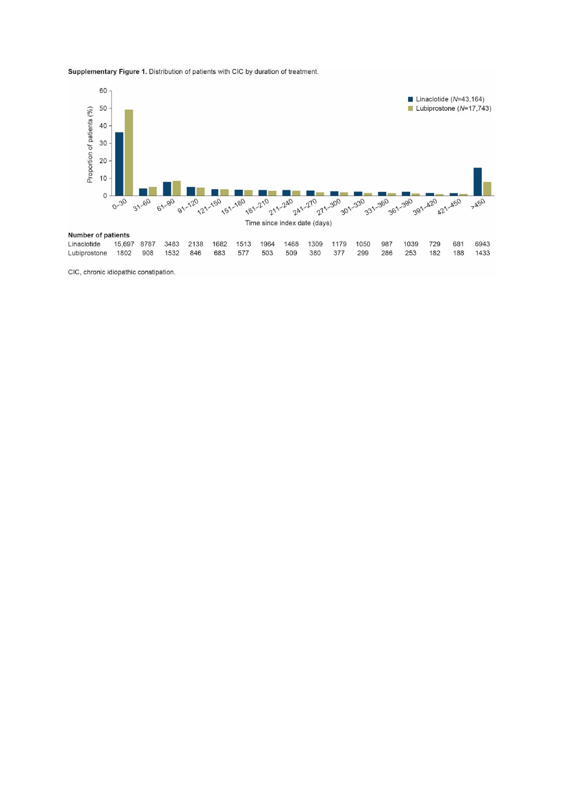Supplementary Figure 1. Distribution of patients with CIC by duration of treatment.



CIC, chronic idiopathic constipation.